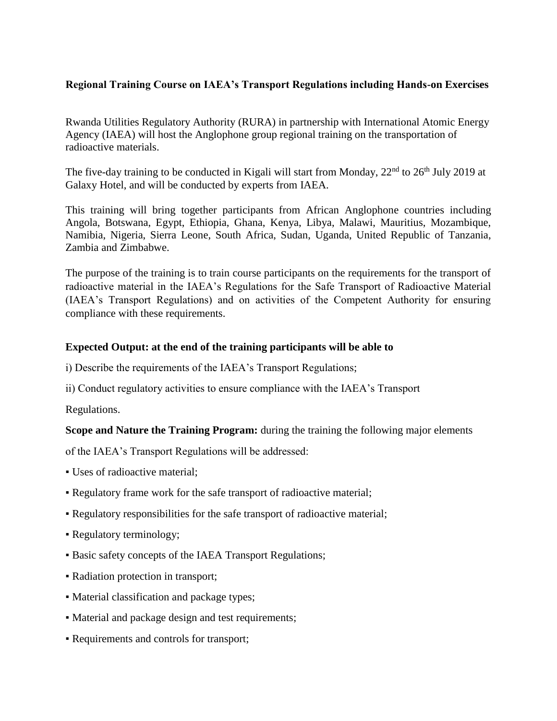## **Regional Training Course on IAEA's Transport Regulations including Hands-on Exercises**

Rwanda Utilities Regulatory Authority (RURA) in partnership with International Atomic Energy Agency (IAEA) will host the Anglophone group regional training on the transportation of radioactive materials.

The five-day training to be conducted in Kigali will start from Monday, 22<sup>nd</sup> to 26<sup>th</sup> July 2019 at Galaxy Hotel, and will be conducted by experts from IAEA.

This training will bring together participants from African Anglophone countries including Angola, Botswana, Egypt, Ethiopia, Ghana, Kenya, Libya, Malawi, Mauritius, Mozambique, Namibia, Nigeria, Sierra Leone, South Africa, Sudan, Uganda, United Republic of Tanzania, Zambia and Zimbabwe.

The purpose of the training is to train course participants on the requirements for the transport of radioactive material in the IAEA's Regulations for the Safe Transport of Radioactive Material (IAEA's Transport Regulations) and on activities of the Competent Authority for ensuring compliance with these requirements.

## **Expected Output: at the end of the training participants will be able to**

- i) Describe the requirements of the IAEA's Transport Regulations;
- ii) Conduct regulatory activities to ensure compliance with the IAEA's Transport

Regulations.

## **Scope and Nature the Training Program:** during the training the following major elements

of the IAEA's Transport Regulations will be addressed:

- Uses of radioactive material;
- Regulatory frame work for the safe transport of radioactive material;
- Regulatory responsibilities for the safe transport of radioactive material;
- Regulatory terminology;
- Basic safety concepts of the IAEA Transport Regulations;
- Radiation protection in transport;
- Material classification and package types;
- Material and package design and test requirements;
- Requirements and controls for transport;